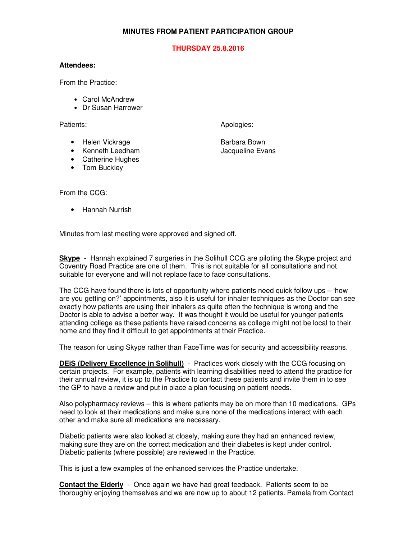## **MINUTES FROM PATIENT PARTICIPATION GROUP**

## **THURSDAY 25.8.2016**

## **Attendees:**

From the Practice:

- Carol McAndrew
- Dr Susan Harrower

Patients: Apologies: Apologies: Apologies: Apologies: Apologies: Apologies: Apologies: Apologies: Apologies: Apologies: Apologies: Apologies: Apologies: Apologies: Apologies: Apologies: Apologies: Apologies: Apologies: Apo

- Helen Vickrage **Barbara Bown**
- Kenneth Leedham Jacqueline Evans
- Catherine Hughes
- Tom Buckley

From the CCG:

• Hannah Nurrish

Minutes from last meeting were approved and signed off.

**Skype** - Hannah explained 7 surgeries in the Solihull CCG are piloting the Skype project and Coventry Road Practice are one of them. This is not suitable for all consultations and not suitable for everyone and will not replace face to face consultations.

The CCG have found there is lots of opportunity where patients need quick follow ups – 'how are you getting on?' appointments, also it is useful for inhaler techniques as the Doctor can see exactly how patients are using their inhalers as quite often the technique is wrong and the Doctor is able to advise a better way. It was thought it would be useful for younger patients attending college as these patients have raised concerns as college might not be local to their home and they find it difficult to get appointments at their Practice.

The reason for using Skype rather than FaceTime was for security and accessibility reasons.

**DEiS (Delivery Excellence in Solihull)** - Practices work closely with the CCG focusing on certain projects. For example, patients with learning disabilities need to attend the practice for their annual review, it is up to the Practice to contact these patients and invite them in to see the GP to have a review and put in place a plan focusing on patient needs.

Also polypharmacy reviews – this is where patients may be on more than 10 medications. GPs need to look at their medications and make sure none of the medications interact with each other and make sure all medications are necessary.

Diabetic patients were also looked at closely, making sure they had an enhanced review, making sure they are on the correct medication and their diabetes is kept under control. Diabetic patients (where possible) are reviewed in the Practice.

This is just a few examples of the enhanced services the Practice undertake.

**Contact the Elderly** - Once again we have had great feedback. Patients seem to be thoroughly enjoying themselves and we are now up to about 12 patients. Pamela from Contact